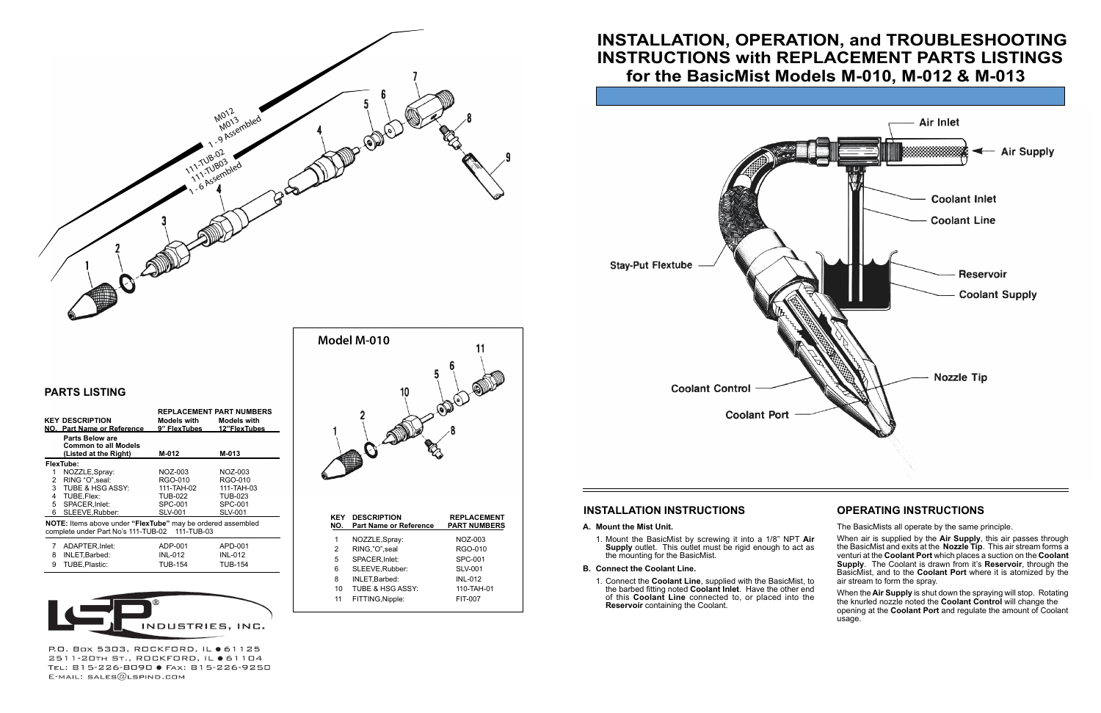# **INSTALLATION INSTRUCTIONS OPERATING INSTRUCTIONS**

### **A. Mount the Mist Unit.**

1. Mount the BasicMist by screwing it into a 1/8" NPT **Air Supply** outlet. This outlet must be rigid enough to act as the mounting for the BasicMist.

### **B. Connect the Coolant Line.**

1. Connect the **Coolant Line**, supplied with the BasicMist, to the barbed fitting noted **Coolant Inlet**. Have the other end of this **Coolant Line** connected to, or placed into the **Reservoir** containing the Coolant.

The BasicMists all operate by the same principle.

When air is supplied by the **Air Supply**, this air passes through the BasicMist and exits at the **Nozzle Tip**. This air stream forms a venturi at the **Coolant Port** which places a suction on the **Coolant Supply**. The Coolant is drawn from it's **Reservoir**, through the BasicMist, and to the **Coolant Port** where it is atomized by the air stream to form the spray.

When the **Air Supply** is shut down the spraying will stop. Rotating the knurled nozzle noted the **Coolant Control** will change the opening at the **Coolant Port** and regulate the amount of Coolant usage.

# **PARTS LISTING**

|                                                                                                                               | <b>KEY DESCRIPTION</b><br>NO. Part Name or Reference                    | <b>REPLACEMENT PART NUMBERS</b><br>Models with<br>9" FlexTubes | <b>Models with</b><br>12"FlexTubes |  |  |  |
|-------------------------------------------------------------------------------------------------------------------------------|-------------------------------------------------------------------------|----------------------------------------------------------------|------------------------------------|--|--|--|
|                                                                                                                               | Parts Below are<br><b>Common to all Models</b><br>(Listed at the Right) | M-012                                                          | M-013                              |  |  |  |
| FlexTube:                                                                                                                     |                                                                         |                                                                |                                    |  |  |  |
| 1                                                                                                                             | NOZZLE, Spray:                                                          | NOZ-003                                                        | NOZ-003                            |  |  |  |
| 2                                                                                                                             | RING "O" seal:                                                          | RGO-010                                                        | RGO-010                            |  |  |  |
|                                                                                                                               | 3 TUBE & HSG ASSY:                                                      | 111-TAH-02                                                     | 111-TAH-03                         |  |  |  |
| 4                                                                                                                             | TUBE, Flex:                                                             | <b>TUB-022</b>                                                 | TUB-023                            |  |  |  |
| 5                                                                                                                             | SPACER.Inlet:                                                           | SPC-001                                                        | SPC-001                            |  |  |  |
| 6                                                                                                                             | SLEEVE, Rubber:                                                         | <b>SLV-001</b>                                                 | <b>SLV-001</b>                     |  |  |  |
| <b>NOTE:</b> Items above under " <b>FlexTube</b> " may be ordered assembled<br>complete under Part No's 111-TUB-02 111-TUB-03 |                                                                         |                                                                |                                    |  |  |  |
| 7                                                                                                                             | ADAPTER, Inlet:                                                         | ADP-001                                                        | APD-001                            |  |  |  |
| 8                                                                                                                             | INLET, Barbed:                                                          | <b>INL-012</b>                                                 | <b>INL-012</b>                     |  |  |  |
| $\sim$                                                                                                                        | $T$ $F$ $F$ $F$ $F$ $F$ $F$ $F$ $F$ $F$ $F$ $F$ $F$                     | TIID 4 F 4                                                     | $T$ $\cup$ $R$ $I$                 |  |  |  |





P.O. Box 5303, ROCKFORD, IL ● 61125 2511-20TH ST., ROCKFORD, IL ● 61104 TEL: 815-226-8090 · FAX: 815-226-9250  $E$ -MAIL: SALES $@$ LSPIND.COM

| KEY<br>NO. | <b>DESCRIPTION</b><br><b>Part Name or Reference</b> | <b>REPLACEMENT</b><br><b>PART NUMBERS</b> |
|------------|-----------------------------------------------------|-------------------------------------------|
| 1          | NOZZLE, Spray:                                      | NOZ-003                                   |
| 2          | RING,"O", seal                                      | RGO-010                                   |
| 5          | SPACER, Inlet:                                      | SPC-001                                   |
| 6          | SLEEVE, Rubber:                                     | <b>SLV-001</b>                            |
| 8          | INLET, Barbed:                                      | <b>INL-012</b>                            |
| 10         | TUBE & HSG ASSY:                                    | 110-TAH-01                                |
| 11         | FITTING, Nipple:                                    | FIT-007                                   |
|            |                                                     |                                           |

# **INSTALLATION, OPERATION, and TROUBLESHOOTING INSTRUCTIONS with REPLACEMENT PARTS LISTINGS for the BasicMist Models M-010, M-012 & M-013**